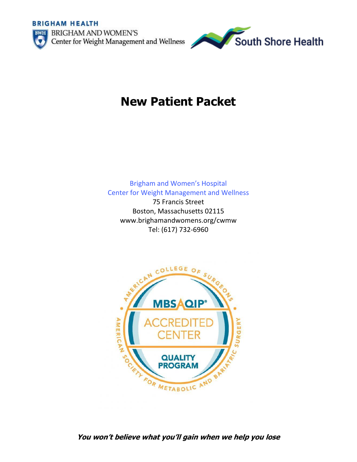**BRIGHAM HEALTH** 





# **New Patient Packet**

Brigham and Women's Hospital Center for Weight Management and Wellness

75 Francis Street Boston, Massachusetts 02115 www.brighamandwomens.org/cwmw Tel: (617) 732-6960



## **You won't believe what you'll gain when we help you lose**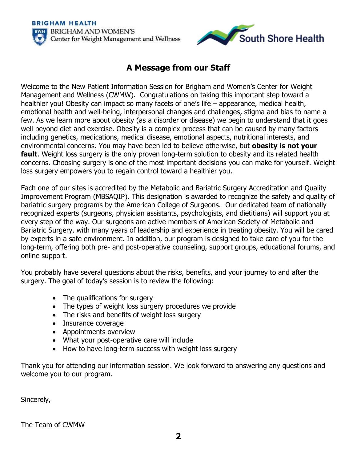**BRIGHAM HEALTH BRIGHAM AND WOMEN'S** Center for Weight Management and Wellness



## **A Message from our Staff**

Welcome to the New Patient Information Session for Brigham and Women's Center for Weight Management and Wellness (CWMW). Congratulations on taking this important step toward a healthier you! Obesity can impact so many facets of one's life – appearance, medical health, emotional health and well-being, interpersonal changes and challenges, stigma and bias to name a few. As we learn more about obesity (as a disorder or disease) we begin to understand that it goes well beyond diet and exercise. Obesity is a complex process that can be caused by many factors including genetics, medications, medical disease, emotional aspects, nutritional interests, and environmental concerns. You may have been led to believe otherwise, but **obesity is not your fault**. Weight loss surgery is the only proven long-term solution to obesity and its related health concerns. Choosing surgery is one of the most important decisions you can make for yourself. Weight loss surgery empowers you to regain control toward a healthier you.

Each one of our sites is accredited by the Metabolic and Bariatric Surgery Accreditation and Quality Improvement Program (MBSAQIP). This designation is awarded to recognize the safety and quality of bariatric surgery programs by the American College of Surgeons. Our dedicated team of nationally recognized experts (surgeons, physician assistants, psychologists, and dietitians) will support you at every step of the way. Our surgeons are active members of American Society of Metabolic and Bariatric Surgery, with many years of leadership and experience in treating obesity. You will be cared by experts in a safe environment. In addition, our program is designed to take care of you for the long-term, offering both pre- and post-operative counseling, support groups, educational forums, and online support.

You probably have several questions about the risks, benefits, and your journey to and after the surgery. The goal of today's session is to review the following:

- The qualifications for surgery
- The types of weight loss surgery procedures we provide
- The risks and benefits of weight loss surgery
- Insurance coverage
- Appointments overview
- What your post-operative care will include
- How to have long-term success with weight loss surgery

Thank you for attending our information session. We look forward to answering any questions and welcome you to our program.

Sincerely,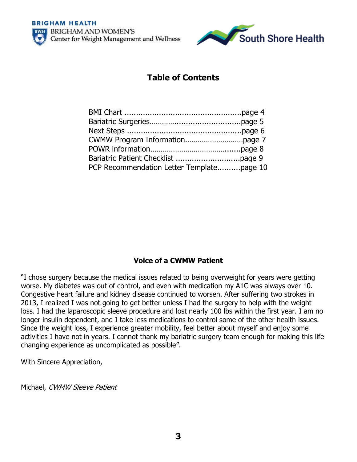



## **Table of Contents**

| PCP Recommendation Letter Templatepage 10 |  |
|-------------------------------------------|--|

## **Voice of a CWMW Patient**

"I chose surgery because the medical issues related to being overweight for years were getting worse. My diabetes was out of control, and even with medication my A1C was always over 10. Congestive heart failure and kidney disease continued to worsen. After suffering two strokes in 2013, I realized I was not going to get better unless I had the surgery to help with the weight loss. I had the laparoscopic sleeve procedure and lost nearly 100 lbs within the first year. I am no longer insulin dependent, and I take less medications to control some of the other health issues. Since the weight loss, I experience greater mobility, feel better about myself and enjoy some activities I have not in years. I cannot thank my bariatric surgery team enough for making this life changing experience as uncomplicated as possible".

With Sincere Appreciation,

Michael, CWMW Sleeve Patient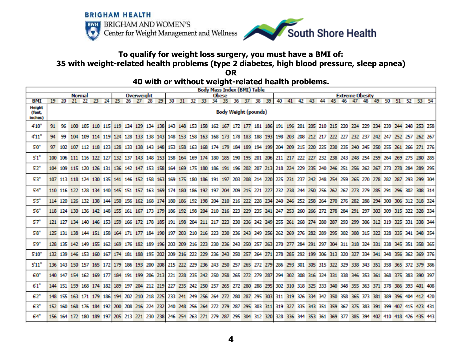



## **To qualify for weight loss surgery, you must have a BMI of: 35 with weight-related health problems (type 2 diabetes, high blood pressure, sleep apnea)**

#### **40 with or without weight-related health problems.**

|                                    | <b>Body Mass Index (BMI) Table</b>                                    |                             |                                                                                                                                                 |  |                                     |  |  |                                                             |  |  |              |                                                                        |       |                                         |  |  |       |  |  |  |  |  |  |                                                                                                     |  |  |                 |  |  |
|------------------------------------|-----------------------------------------------------------------------|-----------------------------|-------------------------------------------------------------------------------------------------------------------------------------------------|--|-------------------------------------|--|--|-------------------------------------------------------------|--|--|--------------|------------------------------------------------------------------------|-------|-----------------------------------------|--|--|-------|--|--|--|--|--|--|-----------------------------------------------------------------------------------------------------|--|--|-----------------|--|--|
|                                    | Overweight<br><b>Normal</b><br>19 20 21 22 23 24 25 26 27 28 29 30 31 |                             |                                                                                                                                                 |  |                                     |  |  |                                                             |  |  | <b>Obese</b> | <b>Extreme Obesity</b><br>40 41 42 43 44 45 46 47 48 49 50 51 52 53 54 |       |                                         |  |  |       |  |  |  |  |  |  |                                                                                                     |  |  |                 |  |  |
| <b>BMI</b>                         |                                                                       |                             |                                                                                                                                                 |  |                                     |  |  |                                                             |  |  |              |                                                                        | 32 33 | 34 35 36 37                             |  |  | 38 39 |  |  |  |  |  |  |                                                                                                     |  |  |                 |  |  |
| <b>Height</b><br>(feet,<br>inches) |                                                                       | <b>Body Weight (pounds)</b> |                                                                                                                                                 |  |                                     |  |  |                                                             |  |  |              |                                                                        |       |                                         |  |  |       |  |  |  |  |  |  |                                                                                                     |  |  |                 |  |  |
| 4'10''                             |                                                                       |                             | 91 96 100 105 110 115 119 124 129 134 138 143 148 153 158 162 167 172 177 181 186 191 196 201 205 210 215 220 224 229 234 239 244 248 253 258   |  |                                     |  |  |                                                             |  |  |              |                                                                        |       |                                         |  |  |       |  |  |  |  |  |  |                                                                                                     |  |  |                 |  |  |
| 4'11''                             | 94                                                                    | 99                          |                                                                                                                                                 |  | 104 109 114 119 124 128 133 138 143 |  |  |                                                             |  |  |              |                                                                        |       |                                         |  |  |       |  |  |  |  |  |  | 148 153 158 163 168 173 178 183 188 193 198 203 208 212 217 222 227 232 237 242 247 252 257 262 267 |  |  |                 |  |  |
| 5'0"                               |                                                                       |                             | 97 102 107 112 118 123                                                                                                                          |  |                                     |  |  | 128 133 138 143 148                                         |  |  |              |                                                                        |       | 153 158 163 168 174 179 184 189 194 199 |  |  |       |  |  |  |  |  |  | 204 209 215 220 225 230 235 240 245 250 255 261 266 271 276                                         |  |  |                 |  |  |
| 5'1"                               |                                                                       |                             | 100 106 111 116 122 127                                                                                                                         |  |                                     |  |  | 132 137 143 148 153                                         |  |  |              |                                                                        |       | 158 164 169 174 180 185 190 195 201 206 |  |  |       |  |  |  |  |  |  | 211 217 222 227 232 238 243 248 254 259 264                                                         |  |  | 269 275 280 285 |  |  |
| 5'2"                               |                                                                       |                             | 104 109 115 120 126 131 136 142 147 153 158                                                                                                     |  |                                     |  |  |                                                             |  |  |              |                                                                        |       |                                         |  |  |       |  |  |  |  |  |  | 164 169 175 180 186 191 196 202 207 213 218 224 229 235 240 246 251 256 262 267 273 278 284 289 295 |  |  |                 |  |  |
| 53"                                |                                                                       |                             | 107 113 118 124 130 135 141 146 152 158 163 169 175 180 186 191 197 203 208 214 220                                                             |  |                                     |  |  |                                                             |  |  |              |                                                                        |       |                                         |  |  |       |  |  |  |  |  |  | 225 231 237 242 248 254 259 265 270 278 282 287 293 299 304                                         |  |  |                 |  |  |
| 5'4"                               |                                                                       |                             | 110 116 122 128 134 140 145 151 157 163 169 174 180 186 192 197 204 209 215 221 227                                                             |  |                                     |  |  |                                                             |  |  |              |                                                                        |       |                                         |  |  |       |  |  |  |  |  |  | 232 238 244 250 256 262 267 273 279 285 291 296 302 308 314                                         |  |  |                 |  |  |
| 55"                                |                                                                       |                             | 114 120 126 132 138 144                                                                                                                         |  |                                     |  |  | 150 156 162 168 174                                         |  |  |              |                                                                        |       | 180 186 192 198 204 210 216 222 228 234 |  |  |       |  |  |  |  |  |  | 240 246 252 258 264 270 276 282 288 294 300 306 312 318 324                                         |  |  |                 |  |  |
| 5'6"                               |                                                                       |                             | 118 124 130 136 142 148 155 161 167 173 179 186 192 198 204 210 216 223 229 235 241                                                             |  |                                     |  |  |                                                             |  |  |              |                                                                        |       |                                         |  |  |       |  |  |  |  |  |  | 247 253 260 266 272 278 284 291 297 303 309 315 322 328 334                                         |  |  |                 |  |  |
| 5'7''                              |                                                                       |                             | 121 127 134 140 146 153 159 166 172 178 185 191 198 204 211 217 223 230 236 242 249 255 261 268 274 280 287 293 299 306 312 319 325 331 338 344 |  |                                     |  |  |                                                             |  |  |              |                                                                        |       |                                         |  |  |       |  |  |  |  |  |  |                                                                                                     |  |  |                 |  |  |
| 58"                                |                                                                       |                             | 125 131 138 144 151 158                                                                                                                         |  |                                     |  |  | 164 171 177 184 190 197 203 210 216 223 230 236 243 249 256 |  |  |              |                                                                        |       |                                         |  |  |       |  |  |  |  |  |  | 262 269 276 282 289 295 302 308 315 322 328                                                         |  |  | 335 341 348 354 |  |  |
| 5'9"                               |                                                                       |                             | 128 135 142 149 155 162 169 176 182 189 196                                                                                                     |  |                                     |  |  |                                                             |  |  |              |                                                                        |       |                                         |  |  |       |  |  |  |  |  |  | 203 209 216 223 230 236 243 250 257 263 270 277 284 291 297 304 311 318 324 331 338                 |  |  | 345 351 358 365 |  |  |
| 5'10''                             |                                                                       |                             | 132 139 146 153 160 167 174 181 188 195 202                                                                                                     |  |                                     |  |  |                                                             |  |  |              |                                                                        |       | 209 216 222 229 236 243 250 257 264 271 |  |  |       |  |  |  |  |  |  | 278 285 292 199 306 313 320 327 334 341 348 356 362 369 376                                         |  |  |                 |  |  |
| 5'11''                             |                                                                       |                             | 136 143 150 157 165 172 179 186 193 200 208                                                                                                     |  |                                     |  |  |                                                             |  |  |              |                                                                        |       | 215 222 229 236 243 250 257 265 272 279 |  |  |       |  |  |  |  |  |  | 286 293 301 305 315 322 329 338 343 351 358 365 372 379 386                                         |  |  |                 |  |  |
| 6'0''                              |                                                                       |                             | 140 147 154 162 169 177                                                                                                                         |  |                                     |  |  | 184 191 199 206 213                                         |  |  |              |                                                                        |       | 221 228 235 242 250 258 265 272 279 287 |  |  |       |  |  |  |  |  |  | 294 302 308 316 324 331 338 346 353 361 368 375 383 390 397                                         |  |  |                 |  |  |
| 6'1''                              |                                                                       |                             | 144 151 159 168 174 182                                                                                                                         |  |                                     |  |  | 189 197 204 212 219                                         |  |  |              |                                                                        |       | 227 235 242 250 257 265 272 280 288 295 |  |  |       |  |  |  |  |  |  | 302 310 318 325 333 340 348 355 363 371 378 386 393 401 408                                         |  |  |                 |  |  |
| 6'2''                              |                                                                       |                             | 148 155 163 171 179 186 194 202 210 218 225                                                                                                     |  |                                     |  |  |                                                             |  |  |              |                                                                        |       | 233 241 249 256 264 272 280 287 295 303 |  |  |       |  |  |  |  |  |  | 311 319 326 334 342 350 358 365 373 381 389 396 404 412 420                                         |  |  |                 |  |  |
| 6'3''                              |                                                                       |                             | 152 160 168 176 184 192                                                                                                                         |  |                                     |  |  | 200 208 216 224 232                                         |  |  |              |                                                                        |       |                                         |  |  |       |  |  |  |  |  |  | 240 248 256 264 272 279 287 295 303 311 319 327 335 343 351 359 367 375 383 391 399                 |  |  | 407 415 423 431 |  |  |
| 6'4''                              |                                                                       |                             | 156 164 172 180 189 197 205 213 221 230 238 246 254 263 271 279 287 295 304 312 320 328 336 344 353 361 369 377 385 394 402 410 418 426 435 443 |  |                                     |  |  |                                                             |  |  |              |                                                                        |       |                                         |  |  |       |  |  |  |  |  |  |                                                                                                     |  |  |                 |  |  |

**OR**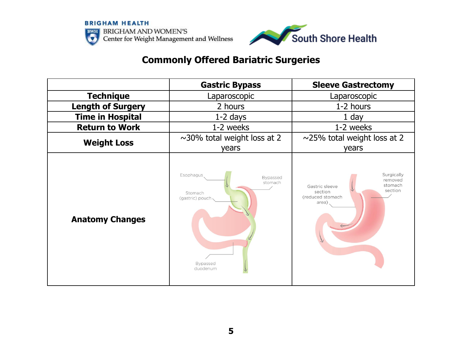



# **Commonly Offered Bariatric Surgeries**

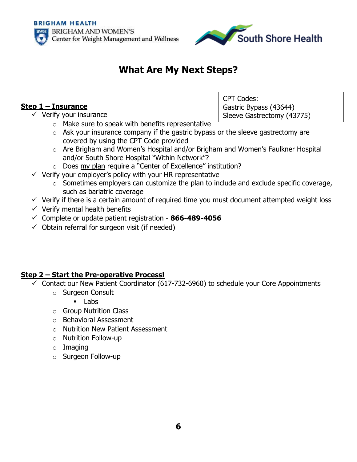



# **What Are My Next Steps?**

## **Step 1 – Insurance**

 $\checkmark$  Verify your insurance

CPT Codes: Gastric Bypass (43644) Sleeve Gastrectomy (43775)

- $\circ$  Make sure to speak with benefits representative  $\circ$  Ask your insurance company if the gastric bypass or the sleeve gastrectomy are covered by using the CPT Code provided
- o Are Brigham and Women's Hospital and/or Brigham and Women's Faulkner Hospital and/or South Shore Hospital "Within Network"?
- $\circ$  Does my plan require a "Center of Excellence" institution?
- $\checkmark$  Verify your employer's policy with your HR representative
	- $\circ$  Sometimes employers can customize the plan to include and exclude specific coverage, such as bariatric coverage
- $\checkmark$  Verify if there is a certain amount of required time you must document attempted weight loss
- $\checkmark$  Verify mental health benefits
- ✓ Complete or update patient registration **866-489-4056**
- $\checkmark$  Obtain referral for surgeon visit (if needed)

## **Step 2 – Start the Pre-operative Process!**

- $\checkmark$  Contact our New Patient Coordinator (617-732-6960) to schedule your Core Appointments
	- o Surgeon Consult
		- Labs
	- o Group Nutrition Class
	- o Behavioral Assessment
	- o Nutrition New Patient Assessment
	- o Nutrition Follow-up
	- o Imaging
	- o Surgeon Follow-up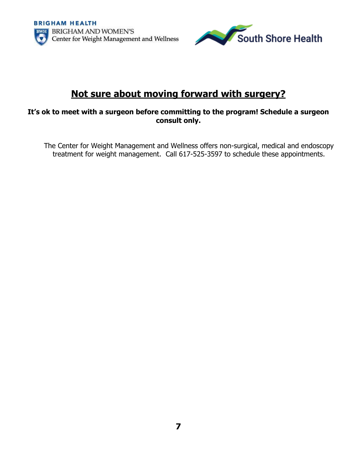

# **Not sure about moving forward with surgery?**

#### **It's ok to meet with a surgeon before committing to the program! Schedule a surgeon consult only.**

The Center for Weight Management and Wellness offers non-surgical, medical and endoscopy treatment for weight management. Call 617-525-3597 to schedule these appointments.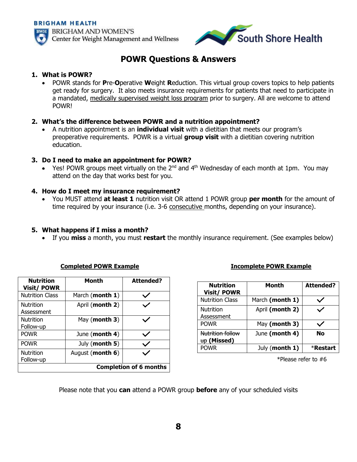

## **POWR Questions & Answers**

#### **1. What is POWR?**

• POWR stands for **P**re-**O**perative **W**eight **R**eduction. This virtual group covers topics to help patients get ready for surgery. It also meets insurance requirements for patients that need to participate in a mandated, medically supervised weight loss program prior to surgery. All are welcome to attend POWR!

#### **2. What's the difference between POWR and a nutrition appointment?**

• A nutrition appointment is an **individual visit** with a dietitian that meets our program's preoperative requirements. POWR is a virtual **group visit** with a dietitian covering nutrition education.

#### **3. Do I need to make an appointment for POWR?**

• Yes! POWR groups meet virtually on the 2<sup>nd</sup> and 4<sup>th</sup> Wednesday of each month at 1pm. You may attend on the day that works best for you.

#### **4. How do I meet my insurance requirement?**

• You MUST attend **at least 1** nutrition visit OR attend 1 POWR group **per month** for the amount of time required by your insurance (i.e. 3-6 consecutive months, depending on your insurance).

#### **5. What happens if I miss a month?**

• If you **miss** a month, you must **restart** the monthly insurance requirement. (See examples below)

| <b>Nutrition</b><br><b>Visit/POWR</b> | Month            | <b>Attended?</b> |  |  |  |  |  |
|---------------------------------------|------------------|------------------|--|--|--|--|--|
| <b>Nutrition Class</b>                | March (month 1)  |                  |  |  |  |  |  |
| <b>Nutrition</b><br>Assessment        | April (month 2)  |                  |  |  |  |  |  |
| <b>Nutrition</b><br>Follow-up         | May (month 3)    |                  |  |  |  |  |  |
| <b>POWR</b>                           | June (month 4)   |                  |  |  |  |  |  |
| <b>POWR</b>                           | July (month 5)   | $\checkmark$     |  |  |  |  |  |
| <b>Nutrition</b><br>Follow-up         | August (month 6) |                  |  |  |  |  |  |
| <b>Completion of 6 months</b>         |                  |                  |  |  |  |  |  |

#### **Completed POWR Example Incomplete POWR Example**

| Nutrition<br><b>Visit/ POWR</b> | Month           | <b>Attended?</b> |
|---------------------------------|-----------------|------------------|
| <b>Nutrition Class</b>          | March (month 1) |                  |
| <b>Nutrition</b><br>Assessment  | April (month 2) |                  |
| <b>POWR</b>                     | May (month 3)   |                  |
| Nutrition follow<br>up (Missed) | June (month 4)  | No               |
| <b>POWR</b>                     | July (month 1)  | *Restart         |

\*Please refer to #6

Please note that you **can** attend a POWR group **before** any of your scheduled visits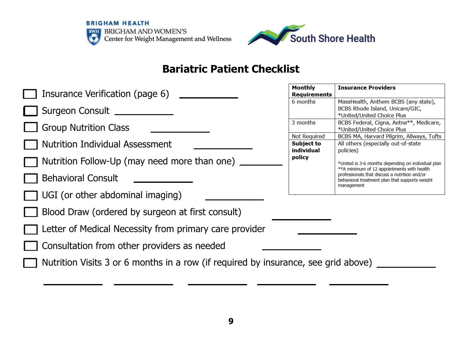



# **Bariatric Patient Checklist**

| Insurance Verification (page 6)                                                    | Monthly<br>Requirements                  | <b>Insurance Prov</b>                                         |
|------------------------------------------------------------------------------------|------------------------------------------|---------------------------------------------------------------|
| Surgeon Consult                                                                    | 6 months                                 | MassHealth, Ant<br><b>BCBS Rhode Isla</b><br>*United/United ( |
| <b>Group Nutrition Class</b>                                                       | 3 months                                 | BCBS Federal, Ci<br>*United/United (                          |
| <b>Nutrition Individual Assessment</b>                                             | Not Required<br>Subject to<br>individual | BCBS MA, Harva<br>All others (espec<br>policies)              |
| Nutrition Follow-Up (may need more than one) _                                     | policy                                   | *United is 3-6 month<br>**A minimum of 12                     |
| <b>Behavioral Consult</b>                                                          |                                          | professionals that dis<br>behavioral treatment                |
| $\Box$ UGI (or other abdominal imaging)                                            |                                          | management                                                    |
| Blood Draw (ordered by surgeon at first consult)                                   |                                          |                                                               |
| Letter of Medical Necessity from primary care provider                             |                                          |                                                               |
| Consultation from other providers as needed                                        |                                          |                                                               |
| Nutrition Visits 3 or 6 months in a row (if required by insurance, see grid above) |                                          |                                                               |
|                                                                                    |                                          |                                                               |

| Monthly                            | <b>Insurance Providers</b>                                                                                                                                                                                        |  |  |  |  |  |  |  |
|------------------------------------|-------------------------------------------------------------------------------------------------------------------------------------------------------------------------------------------------------------------|--|--|--|--|--|--|--|
| Requirements                       |                                                                                                                                                                                                                   |  |  |  |  |  |  |  |
| 6 months                           | MassHealth, Anthem BCBS (any state),<br>BCBS Rhode Island, Unicare/GIC,                                                                                                                                           |  |  |  |  |  |  |  |
|                                    | *United/United Choice Plus                                                                                                                                                                                        |  |  |  |  |  |  |  |
| 3 months                           | BCBS Federal, Cigna, Aetna**, Medicare,<br>*United/United Choice Plus                                                                                                                                             |  |  |  |  |  |  |  |
| Not Required                       | BCBS MA, Harvard Pilgrim, Allways, Tufts                                                                                                                                                                          |  |  |  |  |  |  |  |
| Subject to<br>individual<br>policy | All others (especially out-of-state<br>policies)                                                                                                                                                                  |  |  |  |  |  |  |  |
|                                    | *United is 3-6 months depending on individual plan<br>**A minimum of 12 appointments with health<br>professionals that discuss a nutrition and/or<br>behavioral treatment plan that supports weight<br>management |  |  |  |  |  |  |  |